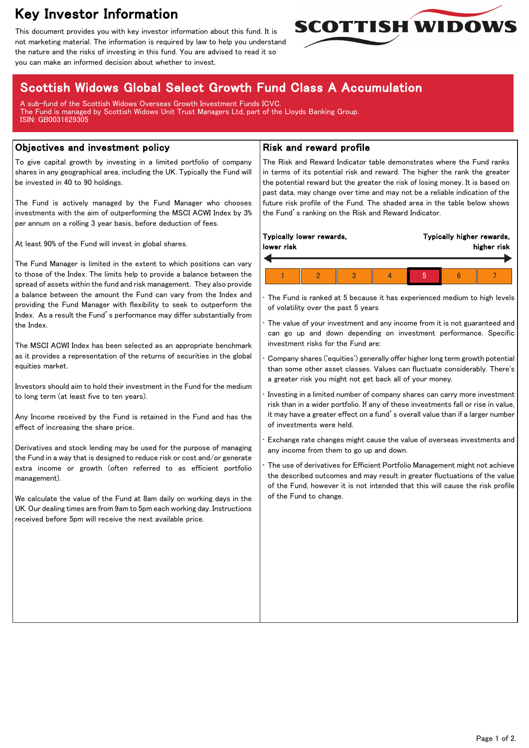# Key Investor Information

This document provides you with key investor information about this fund. It is not marketing material. The information is required by law to help you understand the nature and the risks of investing in this fund. You are advised to read it so you can make an informed decision about whether to invest.



## Scottish Widows Global Select Growth Fund Class A Accumulation

A sub-fund of the Scottish Widows Overseas Growth Investment Funds ICVC. The Fund is managed by Scottish Widows Unit Trust Managers Ltd, part of the Lloyds Banking Group. ISIN: GB0031629305

#### Objectives and investment policy

To give capital growth by investing in a limited portfolio of company shares in any geographical area, including the UK. Typically the Fund will be invested in 40 to 90 holdings.

The Fund is actively managed by the Fund Manager who chooses investments with the aim of outperforming the MSCI ACWI Index by 3% per annum on a rolling 3 year basis, before deduction of fees.

At least 90% of the Fund will invest in global shares.

The Fund Manager is limited in the extent to which positions can vary to those of the Index. The limits help to provide a balance between the spread of assets within the fund and risk management. They also provide a balance between the amount the Fund can vary from the Index and providing the Fund Manager with flexibility to seek to outperform the Index. As a result the Fund's performance may differ substantially from the Index.

The MSCI ACWI Index has been selected as an appropriate benchmark as it provides a representation of the returns of securities in the global equities market.

Investors should aim to hold their investment in the Fund for the medium to long term (at least five to ten years).

Any Income received by the Fund is retained in the Fund and has the effect of increasing the share price.

Derivatives and stock lending may be used for the purpose of managing the Fund in a way that is designed to reduce risk or cost and/or generate extra income or growth (often referred to as efficient portfolio management).

We calculate the value of the Fund at 8am daily on working days in the UK. Our dealing times are from 9am to 5pm each working day. Instructions received before 5pm will receive the next available price.

#### Risk and reward profile

The Risk and Reward Indicator table demonstrates where the Fund ranks in terms of its potential risk and reward. The higher the rank the greater the potential reward but the greater the risk of losing money. It is based on past data, may change over time and may not be a reliable indication of the future risk profile of the Fund. The shaded area in the table below shows the Fund's ranking on the Risk and Reward Indicator.

| Typically lower rewards,<br>lower risk |  | Typically higher rewards,<br>higher risk |  |  |
|----------------------------------------|--|------------------------------------------|--|--|
|                                        |  | Ю                                        |  |  |

The Fund is ranked at 5 because it has experienced medium to high levels of volatility over the past 5 years

The value of your investment and any income from it is not guaranteed and can go up and down depending on investment performance. Specific investment risks for the Fund are:

• Company shares ('equities') generally offer higher long term growth potential than some other asset classes. Values can fluctuate considerably. There's a greater risk you might not get back all of your money.

• Investing in a limited number of company shares can carry more investment risk than in a wider portfolio. If any of these investments fall or rise in value, it may have a greater effect on a fund's overall value than if a larger number of investments were held.

• Exchange rate changes might cause the value of overseas investments and any income from them to go up and down.

The use of derivatives for Efficient Portfolio Management might not achieve the described outcomes and may result in greater fluctuations of the value of the Fund, however it is not intended that this will cause the risk profile of the Fund to change.